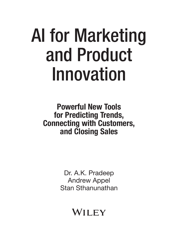# AI for Marketing and Product Innovation

**Powerful New Tools for Predicting Trends, Connecting with Customers, and Closing Sales**

> Dr. A.K. Pradeep Andrew Appel Stan Sthanunathan

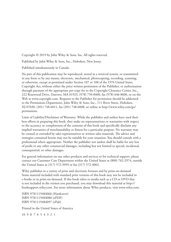Copyright © 2019 by John Wiley & Sons, Inc. All rights reserved.

Published by John Wiley & Sons, Inc., Hoboken, New Jersey.

Published simultaneously in Canada.

No part of this publication may be reproduced, stored in a retrieval system, or transmitted in any form or by any means, electronic, mechanical, photocopying, recording, scanning, or otherwise, except as permitted under Section 107 or 108 of the 1976 United States Copyright Act, without either the prior written permission of the Publisher, or authorization through payment of the appropriate per-copy fee to the Copyright Clearance Center, Inc., 222 Rosewood Drive, Danvers, MA 01923, (978) 750-8400, fax (978) 646-8600, or on the Web at www.copyright.com. Requests to the Publisher for permission should be addressed to the Permissions Department, John Wiley & Sons, Inc., 111 River Street, Hoboken, NJ 07030, (201) 748-6011, fax (201) 748-6008, or online at http://www.wiley.com/go/ permissions.

Limit of Liability/Disclaimer of Warranty: While the publisher and author have used their best efforts in preparing this book, they make no representations or warranties with respect to the accuracy or completeness of the contents of this book and specifically disclaim any implied warranties of merchantability or fitness for a particular purpose. No warranty may be created or extended by sales representatives or written sales materials. The advice and strategies contained herein may not be suitable for your situation. You should consult with a professional where appropriate. Neither the publisher nor author shall be liable for any loss of profit or any other commercial damages, including but not limited to special, incidental, consequential, or other damages.

For general information on our other products and services or for technical support, please contact our Customer Care Department within the United States at (800) 762-2974, outside the United States at (317) 572-3993 or fax (317) 572-4002.

Wiley publishes in a variety of print and electronic formats and by print-on-demand. Some material included with standard print versions of this book may not be included in e-books or in print-on-demand. If this book refers to media such as a CD or DVD that is not included in the version you purchased, you may download this material at http:// booksupport.wiley.com. For more information about Wiley products, visit www.wiley.com.

ISBN 9781119484066 (Hardcover) ISBN 9781119484080 (ePDF) ISBN 9781119484097 (ePub)

Printed in the United States of America

10 9 8 7 6 5 4 3 2 1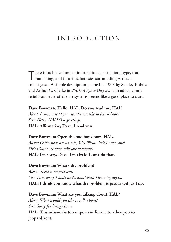# INTRODUCTION

There is such a volume of information, speculation, hype, f mongering, and futuristic fantasies surrounding Artificial There is such a volume of information, speculation, hype, fear-Intelligence. A simple description penned in 1968 by Stanley Kubrick and Arthur C. Clarke in *2001: A Space Odyssey*, with added comic relief from state-of-the-art systems, seems like a good place to start.

**Dave Bowman: Hello, HAL. Do you read me, HAL?**

*Alexa: I cannot read you, would you like to buy a book? Siri: Hello, HALLO – greetings.* **HAL: Affirmative, Dave. I read you.**

## **Dave Bowman: Open the pod bay doors, HAL.**

*Alexa: Coffee pods are on sale, \$19.99/lb, shall I order one? Siri: iPods once open will lose warranty.* **HAL: I'm sorry, Dave. I'm afraid I can't do that.**

**Dave Bowman: What's the problem?** *Alexa: There is no problem. Siri: I am sorry, I don't understand that. Please try again.* **HAL: I think you know what the problem is just as well as I do.**

**Dave Bowman: What are you talking about, HAL?** *Alexa: What would you like to talk about? Siri: Sorry for being obtuse.* **HAL: This mission is too important for me to allow you to** 

**jeopardize it.**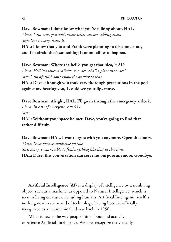**Dave Bowman: I don't know what you're talking about, HAL.** *Alexa: I am sorry you don't know what you are talking about. Siri: Don't worry about it.*

**HAL: I know that you and Frank were planning to disconnect me, and I'm afraid that's something I cannot allow to happen.**

**Dave Bowman: Where the hell'd you get that idea, HAL?** *Alexa: Hell hot sauce available to order. Shall I place the order? Siri: I am afraid I don't know the answer to that.* **HAL: Dave, although you took very thorough precautions in the pod against my hearing you, I could see your lips move.**

**Dave Bowman: Alright, HAL. I'll go in through the emergency airlock.** *Alexa: In case of emergency call 911. Siri: . . .*  **HAL: Without your space helmet, Dave, you're going to find that rather difficult.**

**Dave Bowman: HAL, I won't argue with you anymore. Open the doors.** *Alexa: Door openers available on sale. Siri: Sorry, I wasn't able to find anything like that at this time.* **HAL: Dave, this conversation can serve no purpose anymore. Goodbye.**

**Artificial Intelligence (AI)** is a display of intelligence by a nonliving object, such as a machine, as opposed to Natural Intelligence, which is seen in living creatures, including humans. Artificial Intelligence itself is nothing new to the world of technology, having become officially recognized as an academic field way back in 1956.

 What is new is the way people think about and actually experience Artificial Intelligence. We now recognize the virtually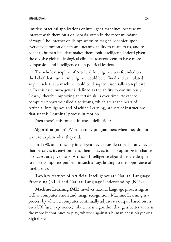### Introduction xxi

limitless practical applications of intelligent machines, because we interact with them on a daily basis, often in the most mundane of ways. The Internet of Things seems to magically confer upon everyday common objects an uncanny ability to relate to us, and to adapt to human life, that makes them look intelligent. Indeed given the divisive global ideological climate, toasters seem to have more compassion and intelligence than political leaders.

The whole discipline of Artificial Intelligence was founded on the belief that human intelligence could be defined and articulated so precisely that a machine could be designed essentially to replicate it. In this case, *intelligence* is defined as the ability to continuously "learn," thereby improving at certain skills over time. Advanced computer programs called algorithms, which are at the heart of Artificial Intelligence and Machine Learning, are sets of instructions that set this "learning" process in motion.

Then there's this tongue-in-cheek definition:

 **Algorithm** (noun): Word used by programmers when they do not want to explain what they did.

In 1998, an artificially intelligent device was described as any device that perceives its environment, then takes actions to optimize its chance of success at a given task. Artificial Intelligence algorithms are designed to make computers perform in such a way, leading to the appearance of intelligence.

Two key features of Artificial Intelligence are Natural Language Processing (NLP) and Natural Language Understanding (NLU).

**Machine Learning (ML)** involves natural language processing, as well as computer vision and image recognition. Machine Learning is a process by which a computer continually adjusts its output based on its own UX (user experience), like a chess algorithm that gets better at chess the more it continues to play, whether against a human chess player or a digital one.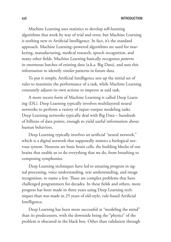Machine Learning uses statistics to develop self-learning algorithms that work by way of trial and error, but Machine Learning is nothing new to Artificial Intelligence. In fact, it's the standard approach. Machine Learning–powered algorithms are used for marketing, manufacturing, medical research, speech recognition, and many other fields. Machine Learning basically recognizes *patterns* in enormous batches of existing data (a.k.a. Big Data), and uses this information to identify *similar* patterns in future data.

To put it simply, Artificial Intelligence sets up the initial set of rules to maximize the performance of a task, while Machine Learning constantly adjusts its own actions to improve at said task.

A more recent form of Machine Learning is called Deep Learning (DL). Deep Learning typically involves multilayered neural networks to perform a variety of input–output modeling tasks. Deep Learning networks typically deal with Big Data – hundreds of billions of data points, enough to yield useful information about human behaviors.

Deep Learning typically involves an artificial "neural network," which is a digital network that supposedly mimics a biological nervous system. Neurons are basic brain cells, the building blocks of our brains that enable us to do everything that we do, from breathing to composing symphonies.

Deep Learning techniques have led to amazing progress in signal processing, voice understanding, text understanding, and image recognition, to name a few. These are complex problems that have challenged programmers for decades. In these fields and others, more progress has been made in three years using Deep Learning techniques than was made in 25 years of old-style, rule-based Artificial Intelligence.

Deep Learning has been more successful at "modeling the mind" than its predecessors, with the downside being the "physics" of the problem is obscured in the black box. Other than validation through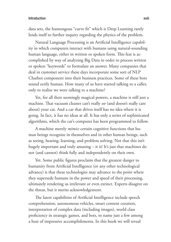### Introduction xxiii

data sets, the humongous "curve fit" which is Deep Learning rarely lends itself to further inquiry regarding the physics of the problem.

Natural Language Processing is an Artificial Intelligence capability in which computers interact with humans using natural-sounding human language, either in written or spoken form. This feat is accomplished by way of analyzing Big Data in order to process written or spoken "keywords" to formulate an answer. Many companies that deal in customer service these days incorporate some sort of NLP Chatbot component into their business practices. Some of these bots sound eerily human. How many of us have started talking to a caller, only to realize we were talking to a machine?

Yet, for all their seemingly magical powers, a machine is still just a machine. That vacuum cleaner can't really *see* (and doesn't really care about) your cat. And a car that drives itself has no idea where it is going. In fact, it has no ideas at all. It has only a series of sophisticated algorithms, which the car's computer has been programmed to follow.

A machine merely *mimics* certain cognitive functions that human beings recognize in themselves and in other human beings, such as seeing, hearing, learning, and problem solving. Not that this isn't hugely important and truly amazing – it is! It's just that machines do not (and cannot) think fully and independently on their own.

Yet. Some public figures proclaim that the greatest danger to humanity from Artificial Intelligence (or any other technological advance) is that these technologies may advance to the point where they supersede humans in the power and speed of their processing, ultimately rendering us irrelevant or even extinct. Experts disagree on the threat, but it merits acknowledgement.

The latest capabilities of Artificial Intelligence include speech comprehension, autonomous vehicles, smart content curation, interpretation of complex data (including images), world class proficiency in strategic games, and bots, to name just a few among a host of impressive accomplishments. In this book we will reveal